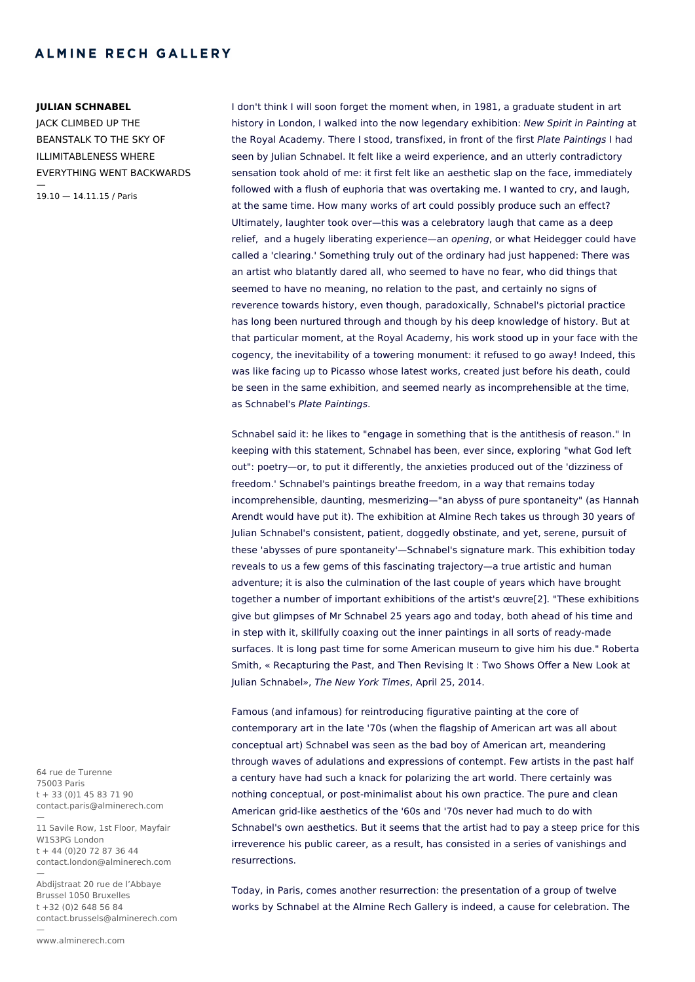#### **JULIAN SCHNABEL**

JACK CLIMBED UP THE BEANSTALK TO THE SKY OF ILLIMITABLENESS WHERE EVERYTHING WENT BACKWARDS — 19.10 — 14.11.15 / Paris

I don't think I will soon forget the moment when, in 1981, a graduate student in art history in London, I walked into the now legendary exhibition: New Spirit in Painting at the Royal Academy. There I stood, transfixed, in front of the first Plate Paintings I had seen by Julian Schnabel. It felt like a weird experience, and an utterly contradictory sensation took ahold of me: it first felt like an aesthetic slap on the face, immediately followed with a flush of euphoria that was overtaking me. I wanted to cry, and laugh, at the same time. How many works of art could possibly produce such an effect? Ultimately, laughter took over—this was a celebratory laugh that came as a deep relief, and a hugely liberating experience—an *opening*, or what Heidegger could have called a 'clearing.' Something truly out of the ordinary had just happened: There was an artist who blatantly dared all, who seemed to have no fear, who did things that seemed to have no meaning, no relation to the past, and certainly no signs of reverence towards history, even though, paradoxically, Schnabel's pictorial practice has long been nurtured through and though by his deep knowledge of history. But at that particular moment, at the Royal Academy, his work stood up in your face with the cogency, the inevitability of a towering monument: it refused to go away! Indeed, this was like facing up to Picasso whose latest works, created just before his death, could be seen in the same exhibition, and seemed nearly as incomprehensible at the time, as Schnabel's Plate Paintings.

Schnabel said it: he likes to "engage in something that is the antithesis of reason." In keeping with this statement, Schnabel has been, ever since, exploring "what God left out": poetry—or, to put it differently, the anxieties produced out of the 'dizziness of freedom.' Schnabel's paintings breathe freedom, in a way that remains today incomprehensible, daunting, mesmerizing—"an abyss of pure spontaneity" (as Hannah Arendt would have put it). The exhibition at Almine Rech takes us through 30 years of Julian Schnabel's consistent, patient, doggedly obstinate, and yet, serene, pursuit of these 'abysses of pure spontaneity'—Schnabel's signature mark. This exhibition today reveals to us a few gems of this fascinating trajectory—a true artistic and human adventure; it is also the culmination of the last couple of years which have brought together a number of important exhibitions of the artist's œuvre[2]. "These exhibitions give but glimpses of Mr Schnabel 25 years ago and today, both ahead of his time and in step with it, skillfully coaxing out the inner paintings in all sorts of ready-made surfaces. It is long past time for some American museum to give him his due." Roberta Smith, « Recapturing the Past, and Then Revising It : Two Shows Offer a New Look at Julian Schnabel», The New York Times, April 25, 2014.

Famous (and infamous) for reintroducing figurative painting at the core of contemporary art in the late '70s (when the flagship of American art was all about conceptual art) Schnabel was seen as the bad boy of American art, meandering through waves of adulations and expressions of contempt. Few artists in the past half a century have had such a knack for polarizing the art world. There certainly was nothing conceptual, or post-minimalist about his own practice. The pure and clean American grid-like aesthetics of the '60s and '70s never had much to do with Schnabel's own aesthetics. But it seems that the artist had to pay a steep price for this irreverence his public career, as a result, has consisted in a series of vanishings and resurrections.

Today, in Paris, comes another resurrection: the presentation of a group of twelve works by Schnabel at the Almine Rech Gallery is indeed, a cause for celebration. The

64 rue de Turenne 75003 Paris t + 33 (0)1 45 83 71 90 contact.paris@alminerech.com

—

—

11 Savile Row, 1st Floor, Mayfair W1S3PG London  $t + 44 (0)20 72 87 36 44$ contact.london@alminerech.com —

Abdijstraat 20 rue de l'Abbaye Brussel 1050 Bruxelles t +32 (0)2 648 56 84 contact.brussels@alminerech.com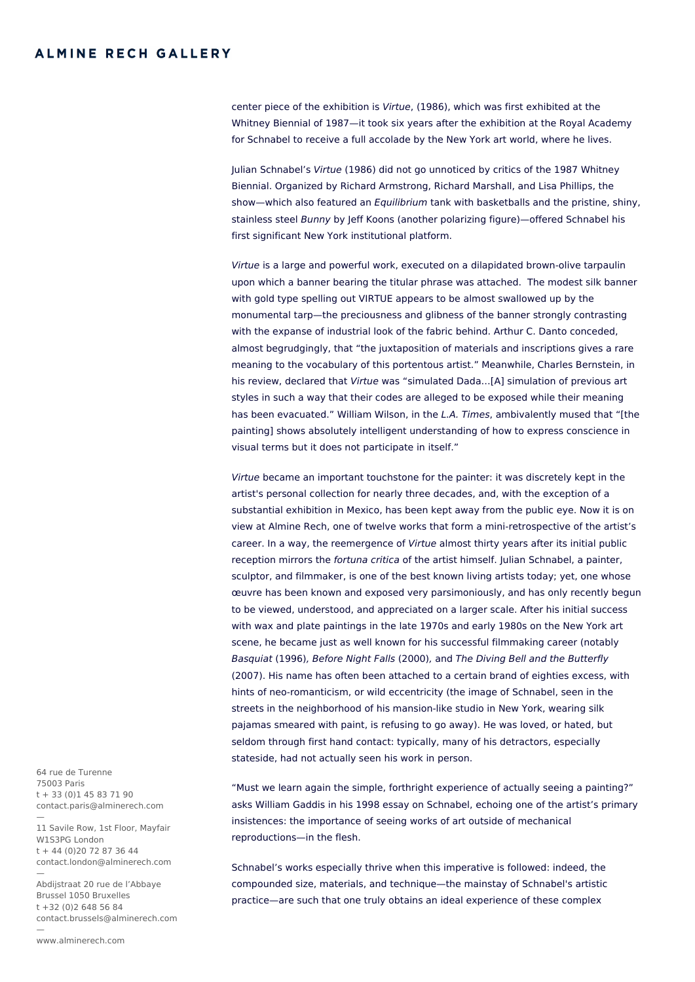center piece of the exhibition is Virtue, (1986), which was first exhibited at the Whitney Biennial of 1987—it took six years after the exhibition at the Royal Academy for Schnabel to receive a full accolade by the New York art world, where he lives.

Julian Schnabel's Virtue (1986) did not go unnoticed by critics of the 1987 Whitney Biennial. Organized by Richard Armstrong, Richard Marshall, and Lisa Phillips, the show—which also featured an *Equilibrium* tank with basketballs and the pristine, shiny, stainless steel Bunny by Jeff Koons (another polarizing figure)—offered Schnabel his first significant New York institutional platform.

Virtue is a large and powerful work, executed on a dilapidated brown-olive tarpaulin upon which a banner bearing the titular phrase was attached. The modest silk banner with gold type spelling out VIRTUE appears to be almost swallowed up by the monumental tarp—the preciousness and glibness of the banner strongly contrasting with the expanse of industrial look of the fabric behind. Arthur C. Danto conceded, almost begrudgingly, that "the juxtaposition of materials and inscriptions gives a rare meaning to the vocabulary of this portentous artist." Meanwhile, Charles Bernstein, in his review, declared that Virtue was "simulated Dada...[A] simulation of previous art styles in such a way that their codes are alleged to be exposed while their meaning has been evacuated." William Wilson, in the L.A. Times, ambivalently mused that "[the painting] shows absolutely intelligent understanding of how to express conscience in visual terms but it does not participate in itself."

Virtue became an important touchstone for the painter: it was discretely kept in the artist's personal collection for nearly three decades, and, with the exception of a substantial exhibition in Mexico, has been kept away from the public eye. Now it is on view at Almine Rech, one of twelve works that form a mini-retrospective of the artist's career. In a way, the reemergence of Virtue almost thirty years after its initial public reception mirrors the fortuna critica of the artist himself. Julian Schnabel, a painter, sculptor, and filmmaker, is one of the best known living artists today; yet, one whose œuvre has been known and exposed very parsimoniously, and has only recently begun to be viewed, understood, and appreciated on a larger scale. After his initial success with wax and plate paintings in the late 1970s and early 1980s on the New York art scene, he became just as well known for his successful filmmaking career (notably Basquiat (1996), Before Night Falls (2000), and The Diving Bell and the Butterfly (2007). His name has often been attached to a certain brand of eighties excess, with hints of neo-romanticism, or wild eccentricity (the image of Schnabel, seen in the streets in the neighborhood of his mansion-like studio in New York, wearing silk pajamas smeared with paint, is refusing to go away). He was loved, or hated, but seldom through first hand contact: typically, many of his detractors, especially stateside, had not actually seen his work in person.

"Must we learn again the simple, forthright experience of actually seeing a painting?" asks William Gaddis in his 1998 essay on Schnabel, echoing one of the artist's primary insistences: the importance of seeing works of art outside of mechanical reproductions—in the flesh.

Schnabel's works especially thrive when this imperative is followed: indeed, the compounded size, materials, and technique—the mainstay of Schnabel's artistic practice—are such that one truly obtains an ideal experience of these complex

64 rue de Turenne 75003 Paris t + 33 (0)1 45 83 71 90 contact.paris@alminerech.com

—

—

11 Savile Row, 1st Floor, Mayfair W1S3PG London  $t + 44 (0)20 72 87 36 44$ contact.london@alminerech.com —

Abdijstraat 20 rue de l'Abbaye Brussel 1050 Bruxelles t +32 (0)2 648 56 84 contact.brussels@alminerech.com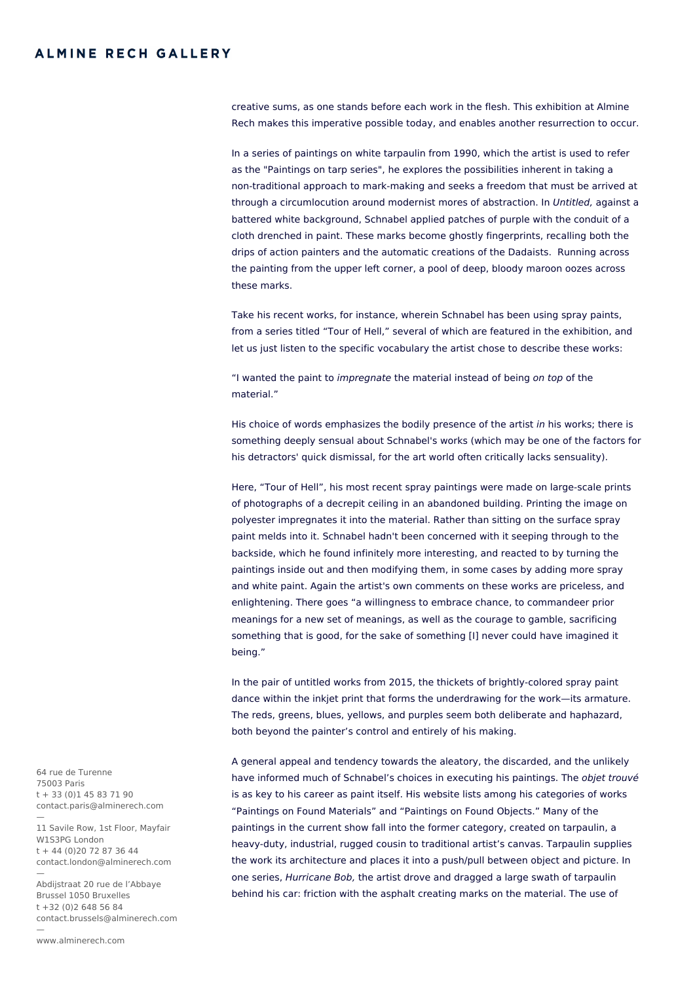creative sums, as one stands before each work in the flesh. This exhibition at Almine Rech makes this imperative possible today, and enables another resurrection to occur.

In a series of paintings on white tarpaulin from 1990, which the artist is used to refer as the "Paintings on tarp series", he explores the possibilities inherent in taking a non-traditional approach to mark-making and seeks a freedom that must be arrived at through a circumlocution around modernist mores of abstraction. In Untitled, against a battered white background, Schnabel applied patches of purple with the conduit of a cloth drenched in paint. These marks become ghostly fingerprints, recalling both the drips of action painters and the automatic creations of the Dadaists. Running across the painting from the upper left corner, a pool of deep, bloody maroon oozes across these marks.

Take his recent works, for instance, wherein Schnabel has been using spray paints, from a series titled "Tour of Hell," several of which are featured in the exhibition, and let us just listen to the specific vocabulary the artist chose to describe these works:

"I wanted the paint to impregnate the material instead of being on top of the material<sup>"</sup>

His choice of words emphasizes the bodily presence of the artist in his works; there is something deeply sensual about Schnabel's works (which may be one of the factors for his detractors' quick dismissal, for the art world often critically lacks sensuality).

Here, "Tour of Hell", his most recent spray paintings were made on large-scale prints of photographs of a decrepit ceiling in an abandoned building. Printing the image on polyester impregnates it into the material. Rather than sitting on the surface spray paint melds into it. Schnabel hadn't been concerned with it seeping through to the backside, which he found infinitely more interesting, and reacted to by turning the paintings inside out and then modifying them, in some cases by adding more spray and white paint. Again the artist's own comments on these works are priceless, and enlightening. There goes "a willingness to embrace chance, to commandeer prior meanings for a new set of meanings, as well as the courage to gamble, sacrificing something that is good, for the sake of something [I] never could have imagined it being."

In the pair of untitled works from 2015, the thickets of brightly-colored spray paint dance within the inkjet print that forms the underdrawing for the work—its armature. The reds, greens, blues, yellows, and purples seem both deliberate and haphazard, both beyond the painter's control and entirely of his making.

A general appeal and tendency towards the aleatory, the discarded, and the unlikely have informed much of Schnabel's choices in executing his paintings. The *objet trouvé* is as key to his career as paint itself. His website lists among his categories of works "Paintings on Found Materials" and "Paintings on Found Objects." Many of the paintings in the current show fall into the former category, created on tarpaulin, a heavy-duty, industrial, rugged cousin to traditional artist's canvas. Tarpaulin supplies the work its architecture and places it into a push/pull between object and picture. In one series, Hurricane Bob, the artist drove and dragged a large swath of tarpaulin behind his car: friction with the asphalt creating marks on the material. The use of

64 rue de Turenne 75003 Paris t + 33 (0)1 45 83 71 90 contact.paris@alminerech.com

— 11 Savile Row, 1st Floor, Mayfair W1S3PG London  $t + 44 (0)20 72 87 36 44$ contact.london@alminerech.com —

Abdijstraat 20 rue de l'Abbaye Brussel 1050 Bruxelles t +32 (0)2 648 56 84 contact.brussels@alminerech.com

—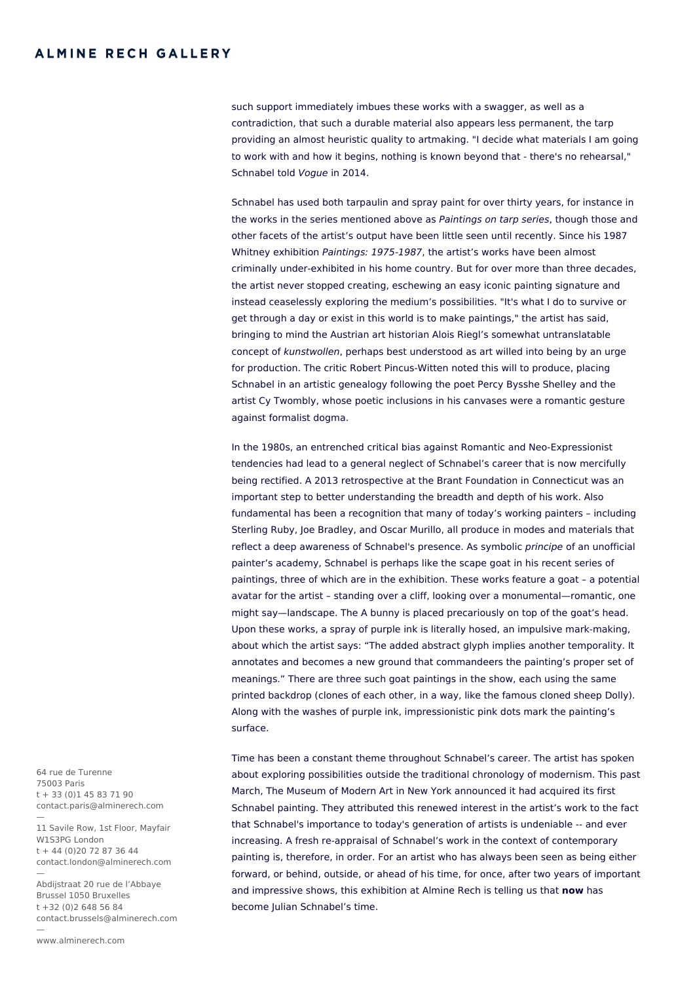such support immediately imbues these works with a swagger, as well as a contradiction, that such a durable material also appears less permanent, the tarp providing an almost heuristic quality to artmaking. "I decide what materials I am going to work with and how it begins, nothing is known beyond that - there's no rehearsal," Schnabel told Vogue in 2014.

Schnabel has used both tarpaulin and spray paint for over thirty years, for instance in the works in the series mentioned above as Paintings on tarp series, though those and other facets of the artist's output have been little seen until recently. Since his 1987 Whitney exhibition *Paintings: 1975-1987*, the artist's works have been almost criminally under-exhibited in his home country. But for over more than three decades, the artist never stopped creating, eschewing an easy iconic painting signature and instead ceaselessly exploring the medium's possibilities. "It's what I do to survive or get through a day or exist in this world is to make paintings," the artist has said, bringing to mind the Austrian art historian Alois Riegl's somewhat untranslatable concept of kunstwollen, perhaps best understood as art willed into being by an urge for production. The critic Robert Pincus-Witten noted this will to produce, placing Schnabel in an artistic genealogy following the poet Percy Bysshe Shelley and the artist Cy Twombly, whose poetic inclusions in his canvases were a romantic gesture against formalist dogma.

In the 1980s, an entrenched critical bias against Romantic and Neo-Expressionist tendencies had lead to a general neglect of Schnabel's career that is now mercifully being rectified. A 2013 retrospective at the Brant Foundation in Connecticut was an important step to better understanding the breadth and depth of his work. Also fundamental has been a recognition that many of today's working painters – including Sterling Ruby, Joe Bradley, and Oscar Murillo, all produce in modes and materials that reflect a deep awareness of Schnabel's presence. As symbolic principe of an unofficial painter's academy, Schnabel is perhaps like the scape goat in his recent series of paintings, three of which are in the exhibition. These works feature a goat – a potential avatar for the artist – standing over a cliff, looking over a monumental—romantic, one might say—landscape. The A bunny is placed precariously on top of the goat's head. Upon these works, a spray of purple ink is literally hosed, an impulsive mark-making, about which the artist says: "The added abstract glyph implies another temporality. It annotates and becomes a new ground that commandeers the painting's proper set of meanings." There are three such goat paintings in the show, each using the same printed backdrop (clones of each other, in a way, like the famous cloned sheep Dolly). Along with the washes of purple ink, impressionistic pink dots mark the painting's surface.

Time has been a constant theme throughout Schnabel's career. The artist has spoken about exploring possibilities outside the traditional chronology of modernism. This past March, The Museum of Modern Art in New York announced it had acquired its first Schnabel painting. They attributed this renewed interest in the artist's work to the fact that Schnabel's importance to today's generation of artists is undeniable -- and ever increasing. A fresh re-appraisal of Schnabel's work in the context of contemporary painting is, therefore, in order. For an artist who has always been seen as being either forward, or behind, outside, or ahead of his time, for once, after two years of important and impressive shows, this exhibition at Almine Rech is telling us that **now** has become Julian Schnabel's time.

64 rue de Turenne 75003 Paris t + 33 (0)1 45 83 71 90 contact.paris@alminerech.com

— 11 Savile Row, 1st Floor, Mayfair W1S3PG London  $t + 44 (0)20 72 87 36 44$ contact.london@alminerech.com —

Abdijstraat 20 rue de l'Abbaye Brussel 1050 Bruxelles t +32 (0)2 648 56 84 contact.brussels@alminerech.com

—